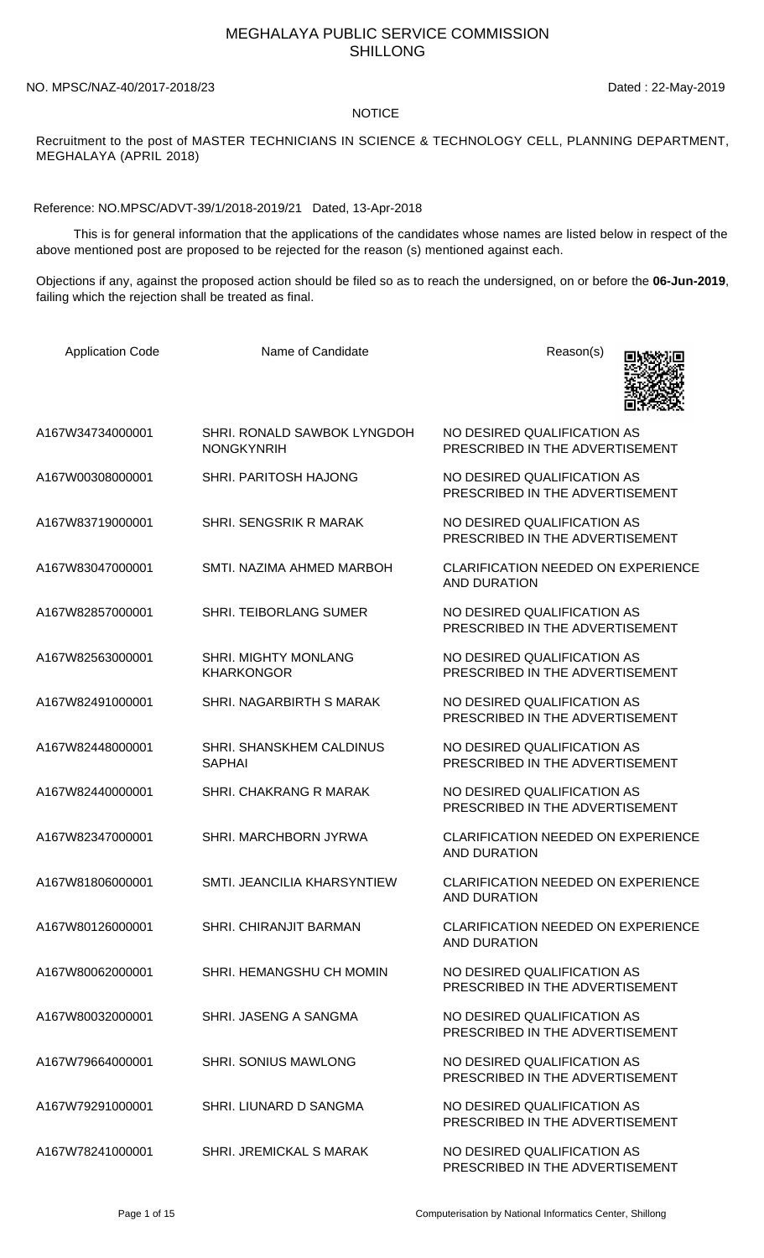## MEGHALAYA PUBLIC SERVICE COMMISSION SHILLONG

NO. MPSC/NAZ-40/2017-2018/23 Dated : 22-May-2019

## **NOTICE**

Recruitment to the post of MASTER TECHNICIANS IN SCIENCE & TECHNOLOGY CELL, PLANNING DEPARTMENT, MEGHALAYA (APRIL 2018)

Reference: NO.MPSC/ADVT-39/1/2018-2019/21 Dated, 13-Apr-2018

 This is for general information that the applications of the candidates whose names are listed below in respect of the above mentioned post are proposed to be rejected for the reason (s) mentioned against each.

Objections if any, against the proposed action should be filed so as to reach the undersigned, on or before the **06-Jun-2019**, failing which the rejection shall be treated as final.

| <b>Application Code</b> | Name of Candidate                                | Reason(s)                                                        |
|-------------------------|--------------------------------------------------|------------------------------------------------------------------|
| A167W34734000001        | SHRI. RONALD SAWBOK LYNGDOH<br><b>NONGKYNRIH</b> | NO DESIRED QUALIFICATION AS<br>PRESCRIBED IN THE ADVERTISEMENT   |
| A167W00308000001        | SHRI, PARITOSH HAJONG                            | NO DESIRED QUALIFICATION AS<br>PRESCRIBED IN THE ADVERTISEMENT   |
| A167W83719000001        | SHRI. SENGSRIK R MARAK                           | NO DESIRED QUALIFICATION AS<br>PRESCRIBED IN THE ADVERTISEMENT   |
| A167W83047000001        | SMTI. NAZIMA AHMED MARBOH                        | <b>CLARIFICATION NEEDED ON EXPERIENCE</b><br><b>AND DURATION</b> |
| A167W82857000001        | <b>SHRI. TEIBORLANG SUMER</b>                    | NO DESIRED QUALIFICATION AS<br>PRESCRIBED IN THE ADVERTISEMENT   |
| A167W82563000001        | <b>SHRI. MIGHTY MONLANG</b><br><b>KHARKONGOR</b> | NO DESIRED QUALIFICATION AS<br>PRESCRIBED IN THE ADVERTISEMENT   |
| A167W82491000001        | SHRI. NAGARBIRTH S MARAK                         | NO DESIRED QUALIFICATION AS<br>PRESCRIBED IN THE ADVERTISEMENT   |
| A167W82448000001        | <b>SHRI. SHANSKHEM CALDINUS</b><br><b>SAPHAI</b> | NO DESIRED QUALIFICATION AS<br>PRESCRIBED IN THE ADVERTISEMENT   |
| A167W82440000001        | SHRI. CHAKRANG R MARAK                           | NO DESIRED QUALIFICATION AS<br>PRESCRIBED IN THE ADVERTISEMENT   |
| A167W82347000001        | SHRI. MARCHBORN JYRWA                            | <b>CLARIFICATION NEEDED ON EXPERIENCE</b><br><b>AND DURATION</b> |
| A167W81806000001        | SMTI. JEANCILIA KHARSYNTIEW                      | <b>CLARIFICATION NEEDED ON EXPERIENCE</b><br>AND DURATION        |
| A167W80126000001        | <b>SHRI. CHIRANJIT BARMAN</b>                    | <b>CLARIFICATION NEEDED ON EXPERIENCE</b><br><b>AND DURATION</b> |
| A167W80062000001        | SHRI. HEMANGSHU CH MOMIN                         | NO DESIRED QUALIFICATION AS<br>PRESCRIBED IN THE ADVERTISEMENT   |
| A167W80032000001        | SHRI, JASENG A SANGMA                            | NO DESIRED QUALIFICATION AS<br>PRESCRIBED IN THE ADVERTISEMENT   |
| A167W79664000001        | <b>SHRI. SONIUS MAWLONG</b>                      | NO DESIRED QUALIFICATION AS<br>PRESCRIBED IN THE ADVERTISEMENT   |
| A167W79291000001        | SHRI. LIUNARD D SANGMA                           | NO DESIRED QUALIFICATION AS<br>PRESCRIBED IN THE ADVERTISEMENT   |
| A167W78241000001        | <b>SHRI. JREMICKAL S MARAK</b>                   | NO DESIRED QUALIFICATION AS<br>PRESCRIBED IN THE ADVERTISEMENT   |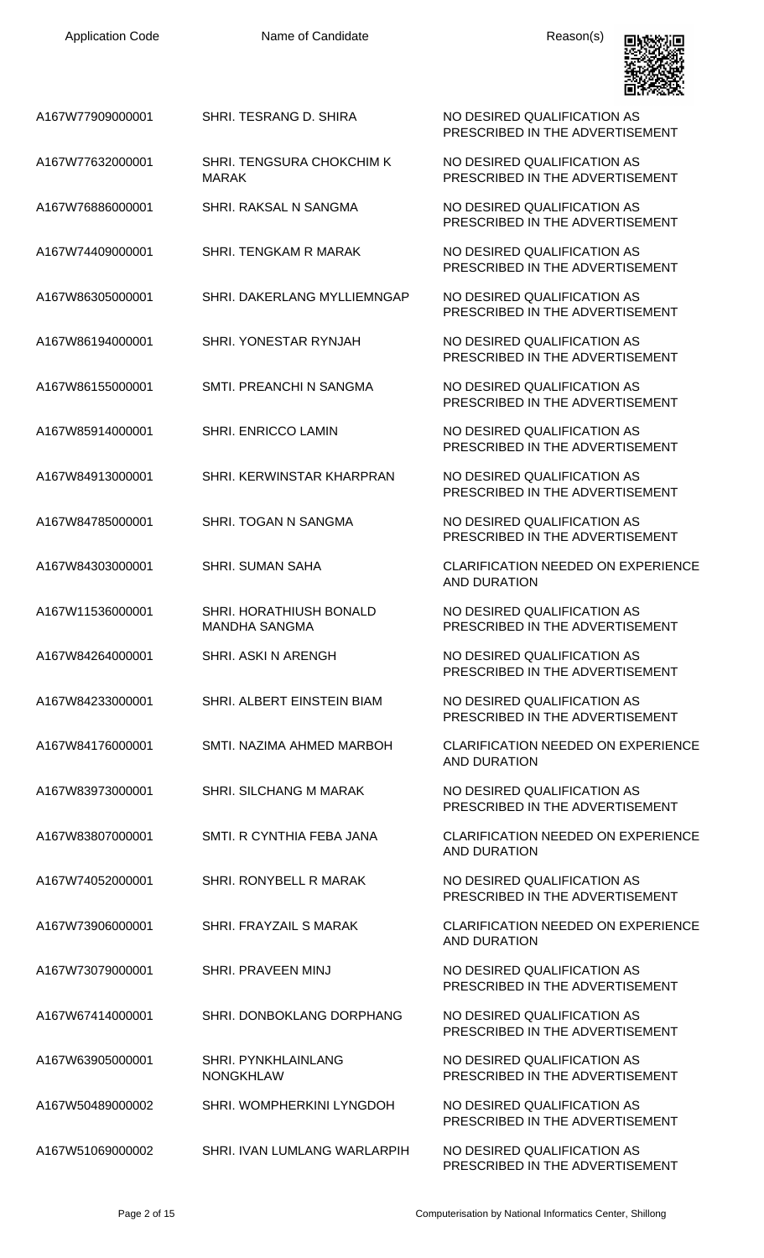

PRESCRIBED IN THE ADVERTISEMENT

NO DESIRED QUALIFICATION AS PRESCRIBED IN THE ADVERTISEMENT

PRESCRIBED IN THE ADVERTISEMENT

PRESCRIBED IN THE ADVERTISEMENT

PRESCRIBED IN THE ADVERTISEMENT

PRESCRIBED IN THE ADVERTISEMENT

PRESCRIBED IN THE ADVERTISEMENT

PRESCRIBED IN THE ADVERTISEMENT

PRESCRIBED IN THE ADVERTISEMENT

PRESCRIBED IN THE ADVERTISEMENT

AND DURATION

NO DESIRED QUALIFICATION AS PRESCRIBED IN THE ADVERTISEMENT

PRESCRIBED IN THE ADVERTISEMENT

PRESCRIBED IN THE ADVERTISEMENT

AND DURATION

PRESCRIBED IN THE ADVERTISEMENT

AND DURATION

PRESCRIBED IN THE ADVERTISEMENT

AND DURATION

PRESCRIBED IN THE ADVERTISEMENT

PRESCRIBED IN THE ADVERTISEMENT

NO DESIRED QUALIFICATION AS PRESCRIBED IN THE ADVERTISEMENT

PRESCRIBED IN THE ADVERTISEMENT

PRESCRIBED IN THE ADVERTISEMENT

A167W77909000001 SHRI. TESRANG D. SHIRA NO DESIRED QUALIFICATION AS

A167W77632000001 SHRI. TENGSURA CHOKCHIM K MARAK

- A167W76886000001 SHRI. RAKSAL N SANGMA NO DESIRED QUALIFICATION AS
- A167W74409000001 SHRI. TENGKAM R MARAK NO DESIRED QUALIFICATION AS
- A167W86305000001 SHRI. DAKERLANG MYLLIEMNGAP NO DESIRED QUALIFICATION AS
- A167W86194000001 SHRI. YONESTAR RYNJAH NO DESIRED QUALIFICATION AS
- A167W86155000001 SMTI. PREANCHI N SANGMA NO DESIRED QUALIFICATION AS
- A167W85914000001 SHRI. ENRICCO LAMIN NO DESIRED QUALIFICATION AS

A167W84913000001 SHRI. KERWINSTAR KHARPRAN NO DESIRED QUALIFICATION AS

- A167W84785000001 SHRI. TOGAN N SANGMA NO DESIRED QUALIFICATION AS
- A167W84303000001 SHRI. SUMAN SAHA CLARIFICATION NEEDED ON EXPERIENCE
- A167W11536000001 SHRI. HORATHIUSH BONALD MANDHA SANGMA
- A167W84264000001 SHRI. ASKI N ARENGH NO DESIRED QUALIFICATION AS
- A167W84233000001 SHRI. ALBERT EINSTEIN BIAM NO DESIRED QUALIFICATION AS
- A167W84176000001 SMTI. NAZIMA AHMED MARBOH CLARIFICATION NEEDED ON EXPERIENCE
- A167W83973000001 SHRI. SILCHANG M MARAK NO DESIRED QUALIFICATION AS
- A167W83807000001 SMTI. R CYNTHIA FEBA JANA CLARIFICATION NEEDED ON EXPERIENCE
- A167W74052000001 SHRI. RONYBELL R MARAK NO DESIRED QUALIFICATION AS
- A167W73906000001 SHRI. FRAYZAIL S MARAK CLARIFICATION NEEDED ON EXPERIENCE
- A167W73079000001 SHRI. PRAVEEN MINJ NO DESIRED QUALIFICATION AS
- A167W67414000001 SHRI. DONBOKLANG DORPHANG NO DESIRED QUALIFICATION AS
- A167W63905000001 SHRI. PYNKHLAINLANG NONGKHLAW
- A167W50489000002 SHRI. WOMPHERKINI LYNGDOH NO DESIRED QUALIFICATION AS
- A167W51069000002 SHRI. IVAN LUMLANG WARLARPIH NO DESIRED QUALIFICATION AS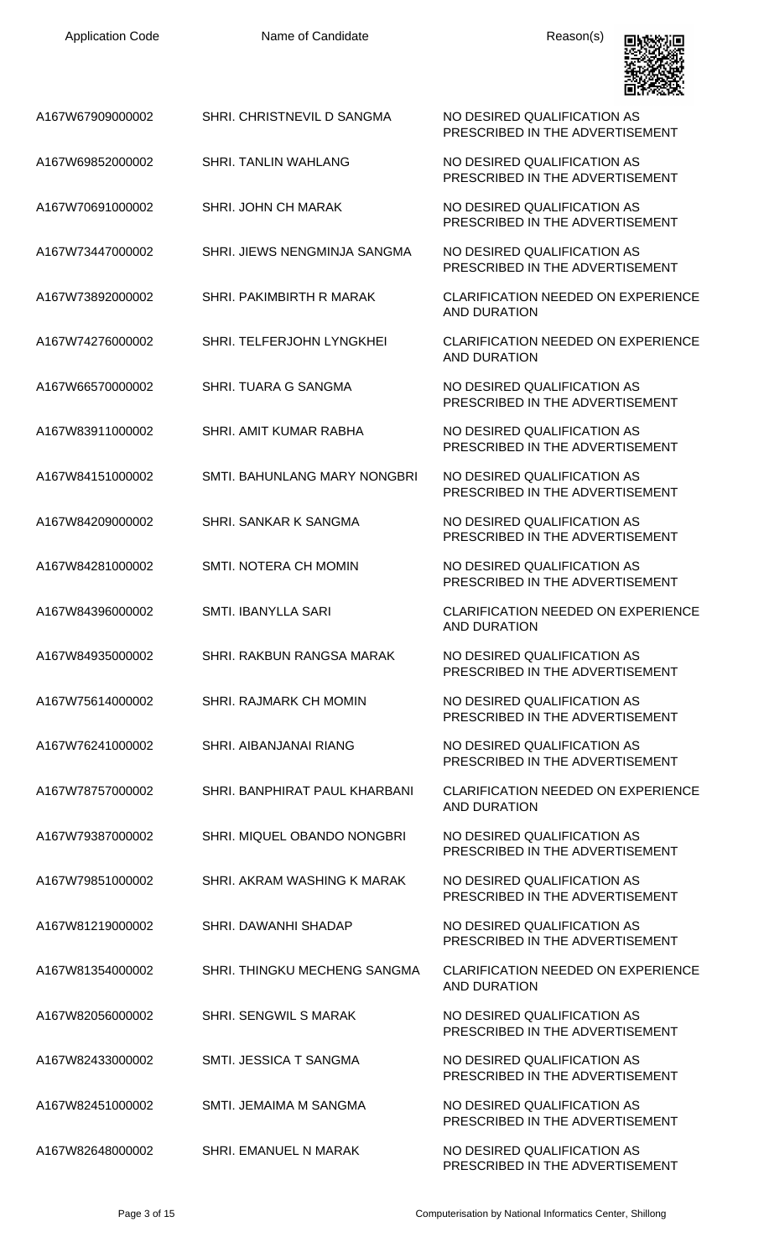| A167W67909000002 | SHRI. CHRISTNEVIL D SANGMA    | NO DESIRED QUALIFICATION AS<br>PRESCRIBED IN THE ADVERTISEMENT   |
|------------------|-------------------------------|------------------------------------------------------------------|
| A167W69852000002 | <b>SHRI. TANLIN WAHLANG</b>   | NO DESIRED QUALIFICATION AS<br>PRESCRIBED IN THE ADVERTISEMENT   |
| A167W70691000002 | <b>SHRI. JOHN CH MARAK</b>    | NO DESIRED QUALIFICATION AS<br>PRESCRIBED IN THE ADVERTISEMENT   |
| A167W73447000002 | SHRI. JIEWS NENGMINJA SANGMA  | NO DESIRED QUALIFICATION AS<br>PRESCRIBED IN THE ADVERTISEMENT   |
| A167W73892000002 | SHRI. PAKIMBIRTH R MARAK      | <b>CLARIFICATION NEEDED ON EXPERIENCE</b><br><b>AND DURATION</b> |
| A167W74276000002 | SHRI. TELFERJOHN LYNGKHEI     | <b>CLARIFICATION NEEDED ON EXPERIENCE</b><br><b>AND DURATION</b> |
| A167W66570000002 | <b>SHRI. TUARA G SANGMA</b>   | NO DESIRED QUALIFICATION AS<br>PRESCRIBED IN THE ADVERTISEMENT   |
| A167W83911000002 | SHRI. AMIT KUMAR RABHA        | NO DESIRED QUALIFICATION AS<br>PRESCRIBED IN THE ADVERTISEMENT   |
| A167W84151000002 | SMTI. BAHUNLANG MARY NONGBRI  | NO DESIRED QUALIFICATION AS<br>PRESCRIBED IN THE ADVERTISEMENT   |
| A167W84209000002 | SHRI. SANKAR K SANGMA         | NO DESIRED QUALIFICATION AS<br>PRESCRIBED IN THE ADVERTISEMENT   |
| A167W84281000002 | SMTI. NOTERA CH MOMIN         | NO DESIRED QUALIFICATION AS<br>PRESCRIBED IN THE ADVERTISEMENT   |
| A167W84396000002 | <b>SMTI. IBANYLLA SARI</b>    | CLARIFICATION NEEDED ON EXPERIENCE<br><b>AND DURATION</b>        |
| A167W84935000002 | SHRI. RAKBUN RANGSA MARAK     | NO DESIRED QUALIFICATION AS<br>PRESCRIBED IN THE ADVERTISEMENT   |
| A167W75614000002 | SHRI. RAJMARK CH MOMIN        | NO DESIRED QUALIFICATION AS<br>PRESCRIBED IN THE ADVERTISEMENT   |
| A167W76241000002 | SHRI. AIBANJANAI RIANG        | NO DESIRED QUALIFICATION AS<br>PRESCRIBED IN THE ADVERTISEMENT   |
| A167W78757000002 | SHRI. BANPHIRAT PAUL KHARBANI | <b>CLARIFICATION NEEDED ON EXPERIENCE</b><br><b>AND DURATION</b> |
| A167W79387000002 | SHRI. MIQUEL OBANDO NONGBRI   | NO DESIRED QUALIFICATION AS<br>PRESCRIBED IN THE ADVERTISEMENT   |
| A167W79851000002 | SHRI. AKRAM WASHING K MARAK   | NO DESIRED QUALIFICATION AS<br>PRESCRIBED IN THE ADVERTISEMENT   |
| A167W81219000002 | SHRI. DAWANHI SHADAP          | NO DESIRED QUALIFICATION AS<br>PRESCRIBED IN THE ADVERTISEMENT   |
| A167W81354000002 | SHRI. THINGKU MECHENG SANGMA  | <b>CLARIFICATION NEEDED ON EXPERIENCE</b><br><b>AND DURATION</b> |
| A167W82056000002 | SHRI. SENGWIL S MARAK         | NO DESIRED QUALIFICATION AS<br>PRESCRIBED IN THE ADVERTISEMENT   |
| A167W82433000002 | SMTI, JESSICA T SANGMA        | NO DESIRED QUALIFICATION AS<br>PRESCRIBED IN THE ADVERTISEMENT   |
| A167W82451000002 | SMTI. JEMAIMA M SANGMA        | NO DESIRED QUALIFICATION AS<br>PRESCRIBED IN THE ADVERTISEMENT   |
| A167W82648000002 | SHRI. EMANUEL N MARAK         | NO DESIRED QUALIFICATION AS                                      |

PRESCRIBED IN THE ADVERTISEMENT

回燃观回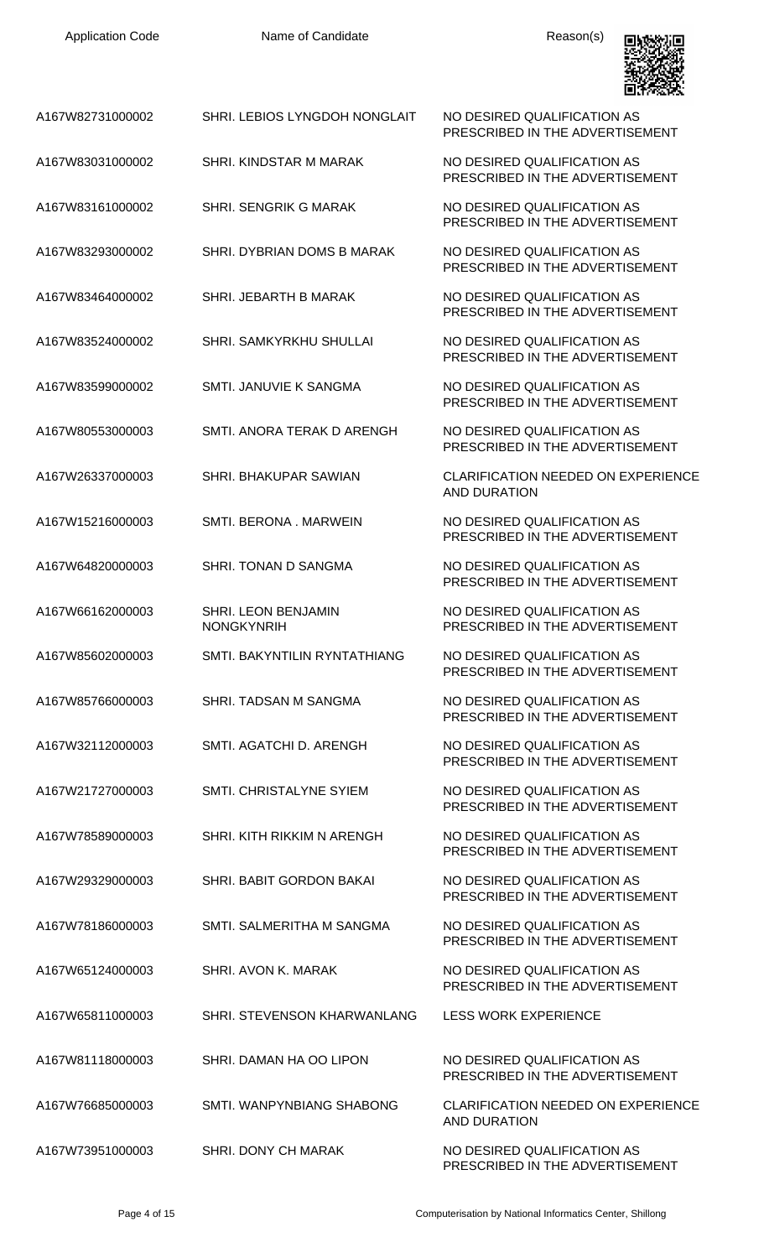

| A167W82731000002 | SHRI. LEBIOS LYNGDOH NONGLAIT            | NO DESIRED QUALIFICATION AS<br>PRESCRIBED IN THE ADVERTISEMENT   |
|------------------|------------------------------------------|------------------------------------------------------------------|
| A167W83031000002 | SHRI. KINDSTAR M MARAK                   | NO DESIRED QUALIFICATION AS<br>PRESCRIBED IN THE ADVERTISEMENT   |
| A167W83161000002 | SHRI. SENGRIK G MARAK                    | NO DESIRED QUALIFICATION AS<br>PRESCRIBED IN THE ADVERTISEMENT   |
| A167W83293000002 | SHRI. DYBRIAN DOMS B MARAK               | NO DESIRED QUALIFICATION AS<br>PRESCRIBED IN THE ADVERTISEMENT   |
| A167W83464000002 | SHRI. JEBARTH B MARAK                    | NO DESIRED QUALIFICATION AS<br>PRESCRIBED IN THE ADVERTISEMENT   |
| A167W83524000002 | SHRI. SAMKYRKHU SHULLAI                  | NO DESIRED QUALIFICATION AS<br>PRESCRIBED IN THE ADVERTISEMENT   |
| A167W83599000002 | SMTI. JANUVIE K SANGMA                   | NO DESIRED QUALIFICATION AS<br>PRESCRIBED IN THE ADVERTISEMENT   |
| A167W80553000003 | SMTI, ANORA TERAK D ARENGH               | NO DESIRED QUALIFICATION AS<br>PRESCRIBED IN THE ADVERTISEMENT   |
| A167W26337000003 | SHRI. BHAKUPAR SAWIAN                    | <b>CLARIFICATION NEEDED ON EXPERIENCE</b><br>AND DURATION        |
| A167W15216000003 | SMTI. BERONA . MARWEIN                   | NO DESIRED QUALIFICATION AS<br>PRESCRIBED IN THE ADVERTISEMENT   |
| A167W64820000003 | SHRI. TONAN D SANGMA                     | NO DESIRED QUALIFICATION AS<br>PRESCRIBED IN THE ADVERTISEMENT   |
| A167W66162000003 | SHRI. LEON BENJAMIN<br><b>NONGKYNRIH</b> | NO DESIRED QUALIFICATION AS<br>PRESCRIBED IN THE ADVERTISEMENT   |
| A167W85602000003 | SMTI. BAKYNTILIN RYNTATHIANG             | NO DESIRED QUALIFICATION AS<br>PRESCRIBED IN THE ADVERTISEMENT   |
| A167W85766000003 | SHRI. TADSAN M SANGMA                    | NO DESIRED QUALIFICATION AS<br>PRESCRIBED IN THE ADVERTISEMENT   |
| A167W32112000003 | SMTI, AGATCHI D. ARENGH                  | NO DESIRED QUALIFICATION AS<br>PRESCRIBED IN THE ADVERTISEMENT   |
| A167W21727000003 | <b>SMTI. CHRISTALYNE SYIEM</b>           | NO DESIRED QUALIFICATION AS<br>PRESCRIBED IN THE ADVERTISEMENT   |
| A167W78589000003 | SHRI. KITH RIKKIM N ARENGH               | NO DESIRED QUALIFICATION AS<br>PRESCRIBED IN THE ADVERTISEMENT   |
| A167W29329000003 | SHRI. BABIT GORDON BAKAI                 | NO DESIRED QUALIFICATION AS<br>PRESCRIBED IN THE ADVERTISEMENT   |
| A167W78186000003 | SMTI, SALMERITHA M SANGMA                | NO DESIRED QUALIFICATION AS<br>PRESCRIBED IN THE ADVERTISEMENT   |
| A167W65124000003 | SHRI, AVON K. MARAK                      | NO DESIRED QUALIFICATION AS<br>PRESCRIBED IN THE ADVERTISEMENT   |
| A167W65811000003 | SHRI. STEVENSON KHARWANLANG              | <b>LESS WORK EXPERIENCE</b>                                      |
| A167W81118000003 | SHRI. DAMAN HA OO LIPON                  | NO DESIRED QUALIFICATION AS<br>PRESCRIBED IN THE ADVERTISEMENT   |
| A167W76685000003 | <b>SMTI. WANPYNBIANG SHABONG</b>         | <b>CLARIFICATION NEEDED ON EXPERIENCE</b><br><b>AND DURATION</b> |
| A167W73951000003 | SHRI. DONY CH MARAK                      | NO DESIRED QUALIFICATION AS<br>PRESCRIBED IN THE ADVERTISEMENT   |

Page 4 of 15 **Page 4 of 15** Computerisation by National Informatics Center, Shillong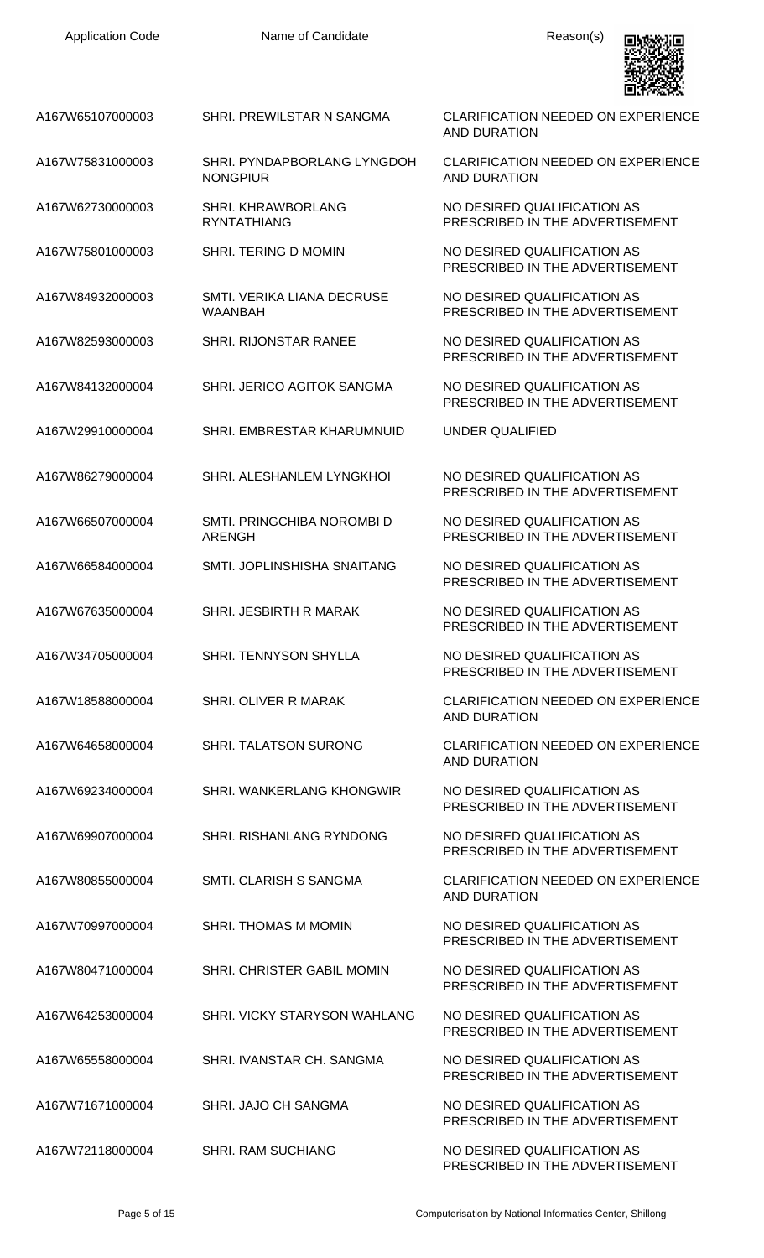

A167W65107000003 SHRI. PREWILSTAR N SANGMA CLARIFICATION NEEDED ON EXPERIENCE

A167W75831000003 SHRI. PYNDAPBORLANG LYNGDOH **NONGPIUR** 

A167W62730000003 SHRI. KHRAWBORLANG RYNTATHIANG

A167W75801000003 SHRI. TERING D MOMIN NO DESIRED QUALIFICATION AS

A167W84932000003 SMTI. VERIKA LIANA DECRUSE WAANBAH

A167W82593000003 SHRI. RIJONSTAR RANEE NO DESIRED QUALIFICATION AS

A167W84132000004 SHRI. JERICO AGITOK SANGMA NO DESIRED QUALIFICATION AS

A167W29910000004 SHRI. EMBRESTAR KHARUMNUID UNDER QUALIFIED

A167W86279000004 SHRI. ALESHANLEM LYNGKHOI NO DESIRED QUALIFICATION AS

A167W66507000004 SMTI. PRINGCHIBA NOROMBI D

ARENGH

A167W66584000004 SMTI. JOPLINSHISHA SNAITANG NO DESIRED QUALIFICATION AS

A167W67635000004 SHRI. JESBIRTH R MARAK NO DESIRED QUALIFICATION AS

A167W34705000004 SHRI. TENNYSON SHYLLA NO DESIRED QUALIFICATION AS

A167W18588000004 SHRI. OLIVER R MARAK CLARIFICATION NEEDED ON EXPERIENCE

A167W64658000004 SHRI. TALATSON SURONG CLARIFICATION NEEDED ON EXPERIENCE

A167W69234000004 SHRI. WANKERLANG KHONGWIR NO DESIRED QUALIFICATION AS

A167W69907000004 SHRI. RISHANLANG RYNDONG NO DESIRED QUALIFICATION AS

A167W80855000004 SMTI. CLARISH S SANGMA CLARIFICATION NEEDED ON EXPERIENCE

A167W70997000004 SHRI. THOMAS M MOMIN NO DESIRED QUALIFICATION AS

A167W80471000004 SHRI. CHRISTER GABIL MOMIN NO DESIRED QUALIFICATION AS

A167W64253000004 SHRI. VICKY STARYSON WAHLANG NO DESIRED QUALIFICATION AS

A167W65558000004 SHRI. IVANSTAR CH. SANGMA NO DESIRED QUALIFICATION AS

A167W72118000004 SHRI. RAM SUCHIANG NO DESIRED QUALIFICATION AS

AND DURATION

CLARIFICATION NEEDED ON EXPERIENCE AND DURATION

NO DESIRED QUALIFICATION AS PRESCRIBED IN THE ADVERTISEMENT

PRESCRIBED IN THE ADVERTISEMENT

NO DESIRED QUALIFICATION AS PRESCRIBED IN THE ADVERTISEMENT

PRESCRIBED IN THE ADVERTISEMENT

PRESCRIBED IN THE ADVERTISEMENT

PRESCRIBED IN THE ADVERTISEMENT

NO DESIRED QUALIFICATION AS PRESCRIBED IN THE ADVERTISEMENT

PRESCRIBED IN THE ADVERTISEMENT

PRESCRIBED IN THE ADVERTISEMENT

PRESCRIBED IN THE ADVERTISEMENT

AND DURATION

AND DURATION

PRESCRIBED IN THE ADVERTISEMENT

PRESCRIBED IN THE ADVERTISEMENT

AND DURATION

PRESCRIBED IN THE ADVERTISEMENT

PRESCRIBED IN THE ADVERTISEMENT

PRESCRIBED IN THE ADVERTISEMENT

PRESCRIBED IN THE ADVERTISEMENT

A167W71671000004 SHRI. JAJO CH SANGMA NO DESIRED QUALIFICATION AS PRESCRIBED IN THE ADVERTISEMENT

PRESCRIBED IN THE ADVERTISEMENT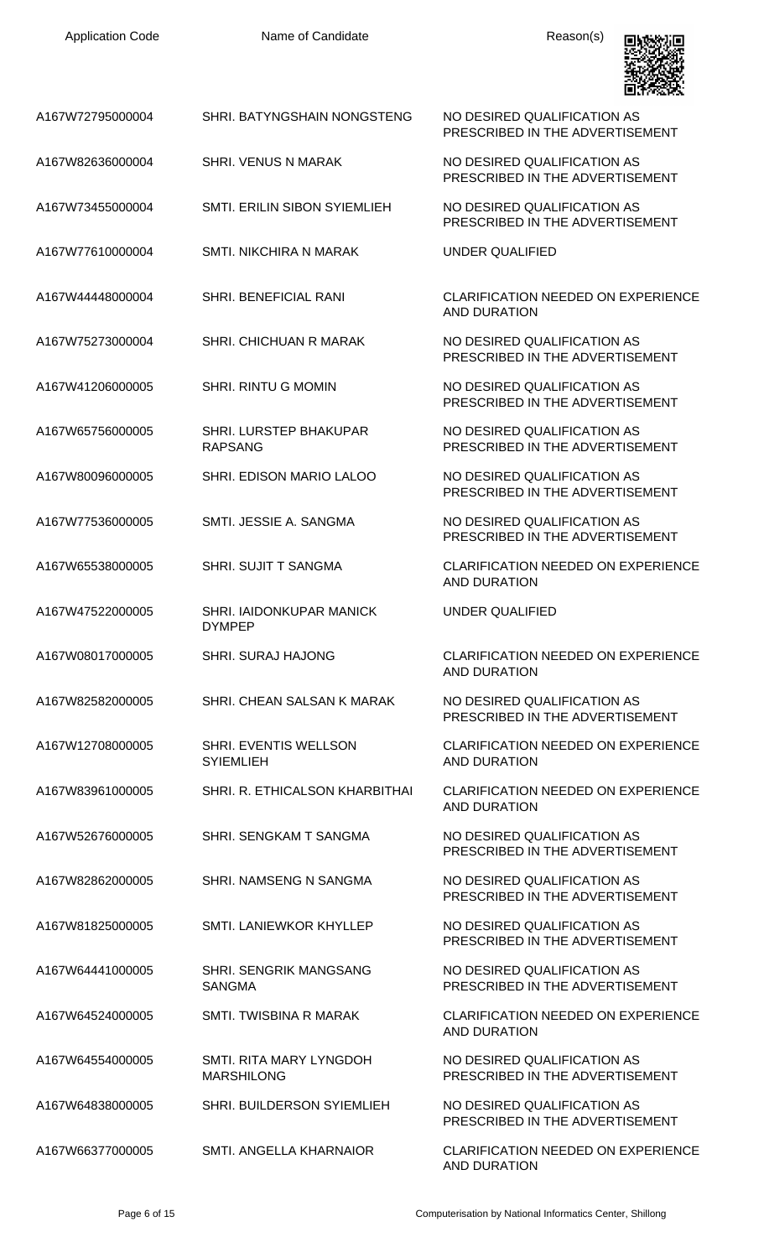

| A167W72795000004 | SHRI. BATYNGSHAIN NONGSTENG                      | NO DESIRED QUALIFICATION AS<br>PRESCRIBED IN THE ADVERTISEMENT   |
|------------------|--------------------------------------------------|------------------------------------------------------------------|
| A167W82636000004 | <b>SHRI. VENUS N MARAK</b>                       | NO DESIRED QUALIFICATION AS<br>PRESCRIBED IN THE ADVERTISEMENT   |
| A167W73455000004 | SMTI. ERILIN SIBON SYIEMLIEH                     | NO DESIRED QUALIFICATION AS<br>PRESCRIBED IN THE ADVERTISEMENT   |
| A167W77610000004 | <b>SMTL NIKCHIRA N MARAK</b>                     | UNDER QUALIFIED                                                  |
| A167W44448000004 | <b>SHRI. BENEFICIAL RANI</b>                     | <b>CLARIFICATION NEEDED ON EXPERIENCE</b><br><b>AND DURATION</b> |
| A167W75273000004 | <b>SHRI. CHICHUAN R MARAK</b>                    | NO DESIRED QUALIFICATION AS<br>PRESCRIBED IN THE ADVERTISEMENT   |
| A167W41206000005 | <b>SHRI. RINTU G MOMIN</b>                       | NO DESIRED QUALIFICATION AS<br>PRESCRIBED IN THE ADVERTISEMENT   |
| A167W65756000005 | <b>SHRI. LURSTEP BHAKUPAR</b><br><b>RAPSANG</b>  | NO DESIRED QUALIFICATION AS<br>PRESCRIBED IN THE ADVERTISEMENT   |
| A167W80096000005 | SHRI. EDISON MARIO LALOO                         | NO DESIRED QUALIFICATION AS<br>PRESCRIBED IN THE ADVERTISEMENT   |
| A167W77536000005 | SMTI, JESSIE A, SANGMA                           | NO DESIRED QUALIFICATION AS<br>PRESCRIBED IN THE ADVERTISEMENT   |
| A167W65538000005 | <b>SHRI. SUJIT T SANGMA</b>                      | <b>CLARIFICATION NEEDED ON EXPERIENCE</b><br><b>AND DURATION</b> |
| A167W47522000005 | <b>SHRI. IAIDONKUPAR MANICK</b><br><b>DYMPEP</b> | UNDER QUALIFIED                                                  |
| A167W08017000005 | <b>SHRI. SURAJ HAJONG</b>                        | <b>CLARIFICATION NEEDED ON EXPERIENCE</b><br><b>AND DURATION</b> |
| A167W82582000005 | SHRI. CHEAN SALSAN K MARAK                       | NO DESIRED QUALIFICATION AS<br>PRESCRIBED IN THE ADVERTISEMENT   |
| A167W12708000005 | SHRI. EVENTIS WELLSON<br><b>SYIEMLIEH</b>        | <b>CLARIFICATION NEEDED ON EXPERIENCE</b><br><b>AND DURATION</b> |
| A167W83961000005 | SHRI. R. ETHICALSON KHARBITHAI                   | <b>CLARIFICATION NEEDED ON EXPERIENCE</b><br>AND DURATION        |
| A167W52676000005 | SHRI. SENGKAM T SANGMA                           | NO DESIRED QUALIFICATION AS<br>PRESCRIBED IN THE ADVERTISEMENT   |
| A167W82862000005 | SHRI. NAMSENG N SANGMA                           | NO DESIRED QUALIFICATION AS<br>PRESCRIBED IN THE ADVERTISEMENT   |
| A167W81825000005 | SMTI. LANIEWKOR KHYLLEP                          | NO DESIRED QUALIFICATION AS<br>PRESCRIBED IN THE ADVERTISEMENT   |
| A167W64441000005 | SHRI. SENGRIK MANGSANG<br><b>SANGMA</b>          | NO DESIRED QUALIFICATION AS<br>PRESCRIBED IN THE ADVERTISEMENT   |
| A167W64524000005 | SMTI. TWISBINA R MARAK                           | <b>CLARIFICATION NEEDED ON EXPERIENCE</b><br><b>AND DURATION</b> |
| A167W64554000005 | SMTI. RITA MARY LYNGDOH<br><b>MARSHILONG</b>     | NO DESIRED QUALIFICATION AS<br>PRESCRIBED IN THE ADVERTISEMENT   |
| A167W64838000005 | SHRI. BUILDERSON SYIEMLIEH                       | NO DESIRED QUALIFICATION AS<br>PRESCRIBED IN THE ADVERTISEMENT   |
| A167W66377000005 | SMTI. ANGELLA KHARNAIOR                          | <b>CLARIFICATION NEEDED ON EXPERIENCE</b><br><b>AND DURATION</b> |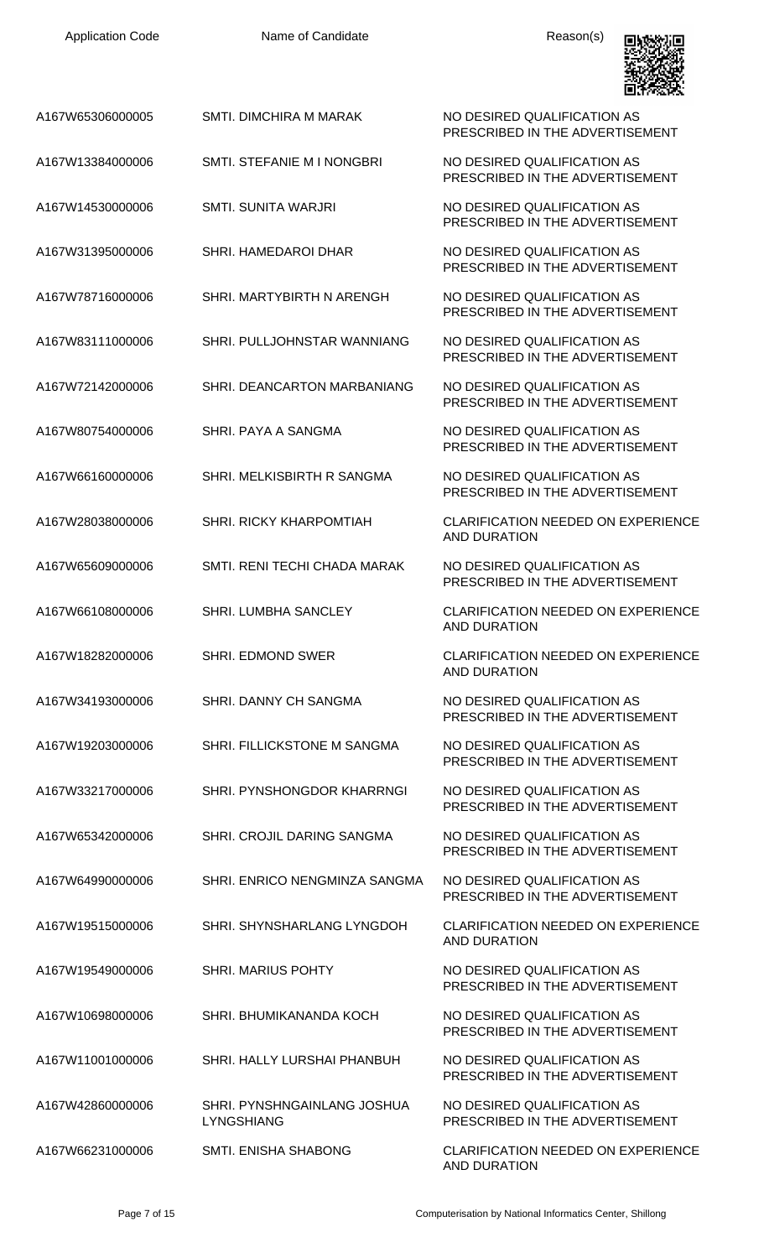| A167W65306000005 | <b>SMTI. DIMCHIRA M MARAK</b>                    | NO DESIRED QUALIFICATION AS<br>PRESCRIBED IN THE ADVERTISEMENT   |
|------------------|--------------------------------------------------|------------------------------------------------------------------|
| A167W13384000006 | SMTI. STEFANIE M I NONGBRI                       | NO DESIRED QUALIFICATION AS<br>PRESCRIBED IN THE ADVERTISEMENT   |
| A167W14530000006 | SMTL SUNITA WARJRI                               | NO DESIRED QUALIFICATION AS<br>PRESCRIBED IN THE ADVERTISEMENT   |
| A167W31395000006 | SHRI. HAMEDAROI DHAR                             | NO DESIRED QUALIFICATION AS<br>PRESCRIBED IN THE ADVERTISEMENT   |
| A167W78716000006 | SHRI. MARTYBIRTH N ARENGH                        | NO DESIRED QUALIFICATION AS<br>PRESCRIBED IN THE ADVERTISEMENT   |
| A167W83111000006 | SHRI. PULLJOHNSTAR WANNIANG                      | NO DESIRED QUALIFICATION AS<br>PRESCRIBED IN THE ADVERTISEMENT   |
| A167W72142000006 | SHRI. DEANCARTON MARBANIANG                      | NO DESIRED QUALIFICATION AS<br>PRESCRIBED IN THE ADVERTISEMENT   |
| A167W80754000006 | SHRI. PAYA A SANGMA                              | NO DESIRED QUALIFICATION AS<br>PRESCRIBED IN THE ADVERTISEMENT   |
| A167W66160000006 | SHRI. MELKISBIRTH R SANGMA                       | NO DESIRED QUALIFICATION AS<br>PRESCRIBED IN THE ADVERTISEMENT   |
| A167W28038000006 | SHRI. RICKY KHARPOMTIAH                          | <b>CLARIFICATION NEEDED ON EXPERIENCE</b><br><b>AND DURATION</b> |
| A167W65609000006 | SMTI, RENI TECHI CHADA MARAK                     | NO DESIRED QUALIFICATION AS<br>PRESCRIBED IN THE ADVERTISEMENT   |
| A167W66108000006 | SHRI. LUMBHA SANCLEY                             | <b>CLARIFICATION NEEDED ON EXPERIENCE</b><br><b>AND DURATION</b> |
| A167W18282000006 | SHRI. EDMOND SWER                                | <b>CLARIFICATION NEEDED ON EXPERIENCE</b><br><b>AND DURATION</b> |
| A167W34193000006 | SHRI. DANNY CH SANGMA                            | NO DESIRED QUALIFICATION AS<br>PRESCRIBED IN THE ADVERTISEMENT   |
| A167W19203000006 | SHRI. FILLICKSTONE M SANGMA                      | NO DESIRED QUALIFICATION AS<br>PRESCRIBED IN THE ADVERTISEMENT   |
| A167W33217000006 | SHRI. PYNSHONGDOR KHARRNGI                       | NO DESIRED QUALIFICATION AS<br>PRESCRIBED IN THE ADVERTISEMENT   |
| A167W65342000006 | SHRI. CROJIL DARING SANGMA                       | NO DESIRED QUALIFICATION AS<br>PRESCRIBED IN THE ADVERTISEMENT   |
| A167W64990000006 | SHRI. ENRICO NENGMINZA SANGMA                    | NO DESIRED QUALIFICATION AS<br>PRESCRIBED IN THE ADVERTISEMENT   |
| A167W19515000006 | SHRI. SHYNSHARLANG LYNGDOH                       | <b>CLARIFICATION NEEDED ON EXPERIENCE</b><br><b>AND DURATION</b> |
| A167W19549000006 | <b>SHRI. MARIUS POHTY</b>                        | NO DESIRED QUALIFICATION AS<br>PRESCRIBED IN THE ADVERTISEMENT   |
| A167W10698000006 | SHRI. BHUMIKANANDA KOCH                          | NO DESIRED QUALIFICATION AS<br>PRESCRIBED IN THE ADVERTISEMENT   |
| A167W11001000006 | SHRI. HALLY LURSHAI PHANBUH                      | NO DESIRED QUALIFICATION AS<br>PRESCRIBED IN THE ADVERTISEMENT   |
| A167W42860000006 | SHRI. PYNSHNGAINLANG JOSHUA<br><b>LYNGSHIANG</b> | NO DESIRED QUALIFICATION AS<br>PRESCRIBED IN THE ADVERTISEMENT   |
| A167W66231000006 | <b>SMTI. ENISHA SHABONG</b>                      | <b>CLARIFICATION NEEDED ON EXPERIENCE</b><br><b>AND DURATION</b> |

回燃烧回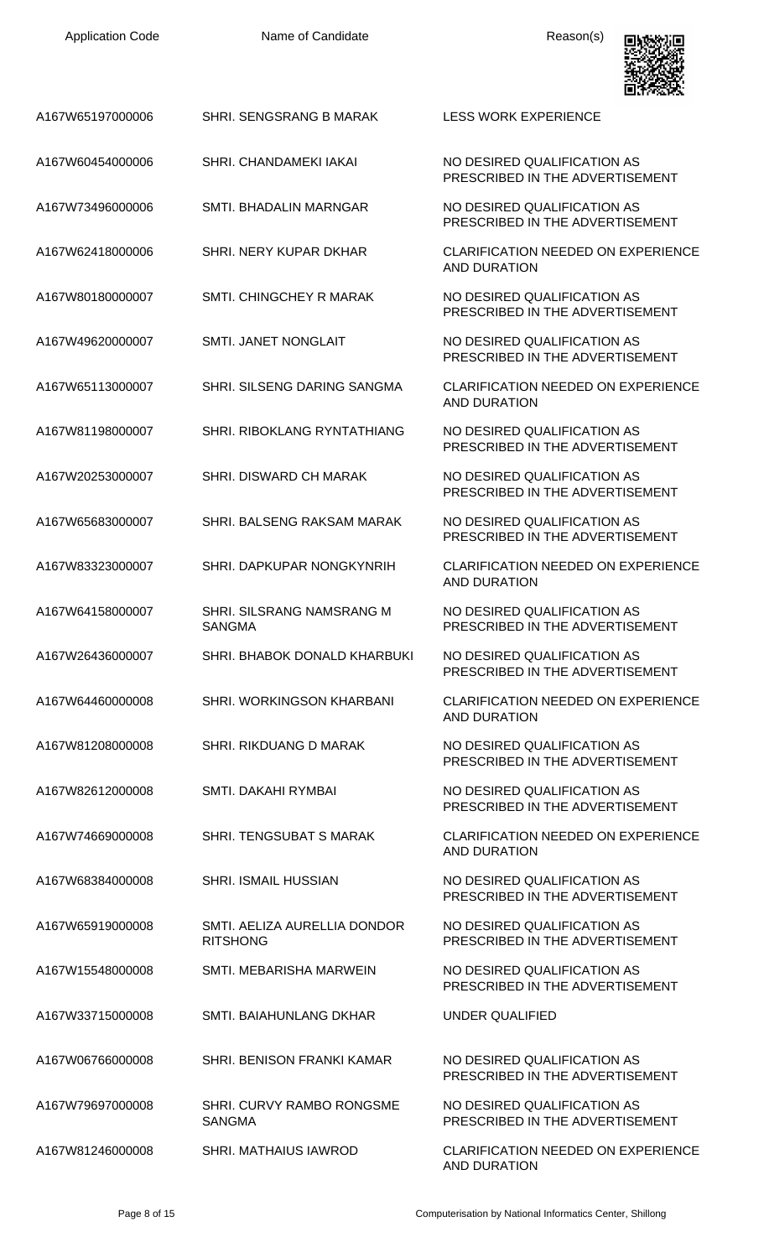| A167W65197000006 | SHRI. SENGSRANG B MARAK                         | <b>LESS WORK EXPERIENCE</b>                                      |
|------------------|-------------------------------------------------|------------------------------------------------------------------|
| A167W60454000006 | SHRI. CHANDAMEKI IAKAI                          | NO DESIRED QUALIFICATION AS<br>PRESCRIBED IN THE ADVERTISEMENT   |
| A167W73496000006 | SMTI. BHADALIN MARNGAR                          | NO DESIRED QUALIFICATION AS<br>PRESCRIBED IN THE ADVERTISEMENT   |
| A167W62418000006 | SHRI. NERY KUPAR DKHAR                          | <b>CLARIFICATION NEEDED ON EXPERIENCE</b><br>AND DURATION        |
| A167W80180000007 | SMTI. CHINGCHEY R MARAK                         | NO DESIRED QUALIFICATION AS<br>PRESCRIBED IN THE ADVERTISEMENT   |
| A167W49620000007 | <b>SMTI. JANET NONGLAIT</b>                     | NO DESIRED QUALIFICATION AS<br>PRESCRIBED IN THE ADVERTISEMENT   |
| A167W65113000007 | SHRI. SILSENG DARING SANGMA                     | <b>CLARIFICATION NEEDED ON EXPERIENCE</b><br>AND DURATION        |
| A167W81198000007 | <b>SHRI, RIBOKLANG RYNTATHIANG</b>              | NO DESIRED QUALIFICATION AS<br>PRESCRIBED IN THE ADVERTISEMENT   |
| A167W20253000007 | SHRI. DISWARD CH MARAK                          | NO DESIRED QUALIFICATION AS<br>PRESCRIBED IN THE ADVERTISEMENT   |
| A167W65683000007 | SHRI. BALSENG RAKSAM MARAK                      | NO DESIRED QUALIFICATION AS<br>PRESCRIBED IN THE ADVERTISEMENT   |
| A167W83323000007 | SHRI. DAPKUPAR NONGKYNRIH                       | <b>CLARIFICATION NEEDED ON EXPERIENCE</b><br><b>AND DURATION</b> |
| A167W64158000007 | SHRI. SILSRANG NAMSRANG M<br><b>SANGMA</b>      | NO DESIRED QUALIFICATION AS<br>PRESCRIBED IN THE ADVERTISEMENT   |
| A167W26436000007 | SHRI. BHABOK DONALD KHARBUKI                    | NO DESIRED QUALIFICATION AS<br>PRESCRIBED IN THE ADVERTISEMENT   |
| A167W64460000008 | SHRI. WORKINGSON KHARBANI                       | <b>CLARIFICATION NEEDED ON EXPERIENCE</b><br><b>AND DURATION</b> |
| A167W81208000008 | SHRI. RIKDUANG D MARAK                          | NO DESIRED QUALIFICATION AS<br>PRESCRIBED IN THE ADVERTISEMENT   |
| A167W82612000008 | SMTI. DAKAHI RYMBAI                             | NO DESIRED QUALIFICATION AS<br>PRESCRIBED IN THE ADVERTISEMENT   |
| A167W74669000008 | SHRI. TENGSUBAT S MARAK                         | <b>CLARIFICATION NEEDED ON EXPERIENCE</b><br><b>AND DURATION</b> |
| A167W68384000008 | <b>SHRI. ISMAIL HUSSIAN</b>                     | NO DESIRED QUALIFICATION AS<br>PRESCRIBED IN THE ADVERTISEMENT   |
| A167W65919000008 | SMTI. AELIZA AURELLIA DONDOR<br><b>RITSHONG</b> | NO DESIRED QUALIFICATION AS<br>PRESCRIBED IN THE ADVERTISEMENT   |
| A167W15548000008 | SMTI. MEBARISHA MARWEIN                         | NO DESIRED QUALIFICATION AS<br>PRESCRIBED IN THE ADVERTISEMENT   |
| A167W33715000008 | SMTI. BAIAHUNLANG DKHAR                         | UNDER QUALIFIED                                                  |
| A167W06766000008 | SHRI. BENISON FRANKI KAMAR                      | NO DESIRED QUALIFICATION AS<br>PRESCRIBED IN THE ADVERTISEMENT   |
| A167W79697000008 | SHRI. CURVY RAMBO RONGSME<br><b>SANGMA</b>      | NO DESIRED QUALIFICATION AS<br>PRESCRIBED IN THE ADVERTISEMENT   |
| A167W81246000008 | SHRI. MATHAIUS IAWROD                           | <b>CLARIFICATION NEEDED ON EXPERIENCE</b>                        |

回收数回

AND DURATION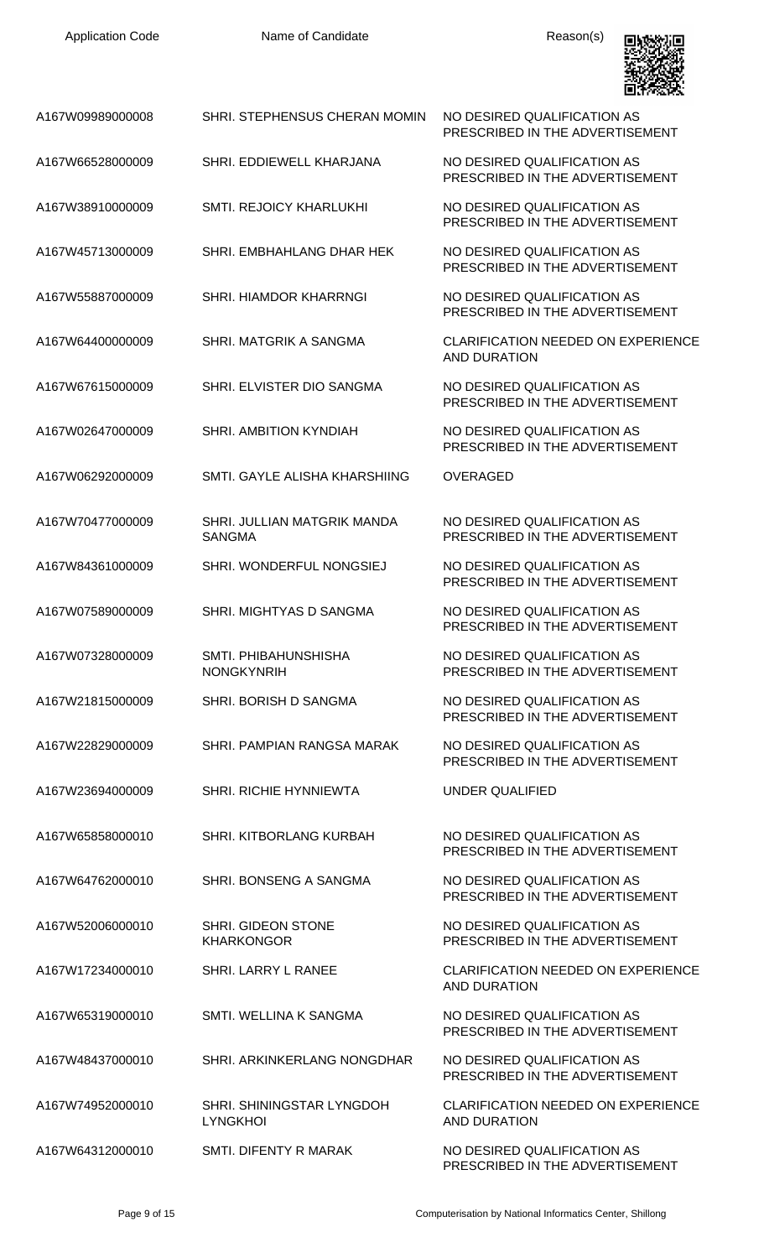

| A167W09989000008 | SHRI. STEPHENSUS CHERAN MOMIN                  | NO DESIRED QUALIFICATION AS<br>PRESCRIBED IN THE ADVERTISEMENT   |
|------------------|------------------------------------------------|------------------------------------------------------------------|
| A167W66528000009 | SHRI. EDDIEWELL KHARJANA                       | NO DESIRED QUALIFICATION AS<br>PRESCRIBED IN THE ADVERTISEMENT   |
| A167W38910000009 | <b>SMTI. REJOICY KHARLUKHI</b>                 | NO DESIRED QUALIFICATION AS<br>PRESCRIBED IN THE ADVERTISEMENT   |
| A167W45713000009 | SHRI. EMBHAHLANG DHAR HEK                      | NO DESIRED QUALIFICATION AS<br>PRESCRIBED IN THE ADVERTISEMENT   |
| A167W55887000009 | <b>SHRI. HIAMDOR KHARRNGI</b>                  | NO DESIRED QUALIFICATION AS<br>PRESCRIBED IN THE ADVERTISEMENT   |
| A167W64400000009 | SHRI. MATGRIK A SANGMA                         | <b>CLARIFICATION NEEDED ON EXPERIENCE</b><br>AND DURATION        |
| A167W67615000009 | SHRI. ELVISTER DIO SANGMA                      | NO DESIRED QUALIFICATION AS<br>PRESCRIBED IN THE ADVERTISEMENT   |
| A167W02647000009 | SHRI. AMBITION KYNDIAH                         | NO DESIRED QUALIFICATION AS<br>PRESCRIBED IN THE ADVERTISEMENT   |
| A167W06292000009 | SMTI, GAYLE ALISHA KHARSHIING                  | <b>OVERAGED</b>                                                  |
| A167W70477000009 | SHRI. JULLIAN MATGRIK MANDA<br><b>SANGMA</b>   | NO DESIRED QUALIFICATION AS<br>PRESCRIBED IN THE ADVERTISEMENT   |
| A167W84361000009 | SHRI. WONDERFUL NONGSIEJ                       | NO DESIRED QUALIFICATION AS<br>PRESCRIBED IN THE ADVERTISEMENT   |
| A167W07589000009 | SHRI. MIGHTYAS D SANGMA                        | NO DESIRED QUALIFICATION AS<br>PRESCRIBED IN THE ADVERTISEMENT   |
| A167W07328000009 | SMTI. PHIBAHUNSHISHA<br><b>NONGKYNRIH</b>      | NO DESIRED QUALIFICATION AS<br>PRESCRIBED IN THE ADVERTISEMENT   |
| A167W21815000009 | SHRI. BORISH D SANGMA                          | NO DESIRED QUALIFICATION AS<br>PRESCRIBED IN THE ADVERTISEMENT   |
| A167W22829000009 | SHRI. PAMPIAN RANGSA MARAK                     | NO DESIRED QUALIFICATION AS<br>PRESCRIBED IN THE ADVERTISEMENT   |
| A167W23694000009 | <b>SHRI. RICHIE HYNNIEWTA</b>                  | <b>UNDER QUALIFIED</b>                                           |
| A167W65858000010 | SHRI. KITBORLANG KURBAH                        | NO DESIRED QUALIFICATION AS<br>PRESCRIBED IN THE ADVERTISEMENT   |
| A167W64762000010 | SHRI. BONSENG A SANGMA                         | NO DESIRED QUALIFICATION AS<br>PRESCRIBED IN THE ADVERTISEMENT   |
| A167W52006000010 | <b>SHRI. GIDEON STONE</b><br><b>KHARKONGOR</b> | NO DESIRED QUALIFICATION AS<br>PRESCRIBED IN THE ADVERTISEMENT   |
| A167W17234000010 | SHRI. LARRY L RANEE                            | <b>CLARIFICATION NEEDED ON EXPERIENCE</b><br><b>AND DURATION</b> |
| A167W65319000010 | SMTI. WELLINA K SANGMA                         | NO DESIRED QUALIFICATION AS<br>PRESCRIBED IN THE ADVERTISEMENT   |
| A167W48437000010 | SHRI. ARKINKERLANG NONGDHAR                    | NO DESIRED QUALIFICATION AS<br>PRESCRIBED IN THE ADVERTISEMENT   |
| A167W74952000010 | SHRI. SHININGSTAR LYNGDOH<br><b>LYNGKHOI</b>   | <b>CLARIFICATION NEEDED ON EXPERIENCE</b><br><b>AND DURATION</b> |
| A167W64312000010 | SMTI. DIFENTY R MARAK                          | NO DESIRED QUALIFICATION AS<br>PRESCRIBED IN THE ADVERTISEMENT   |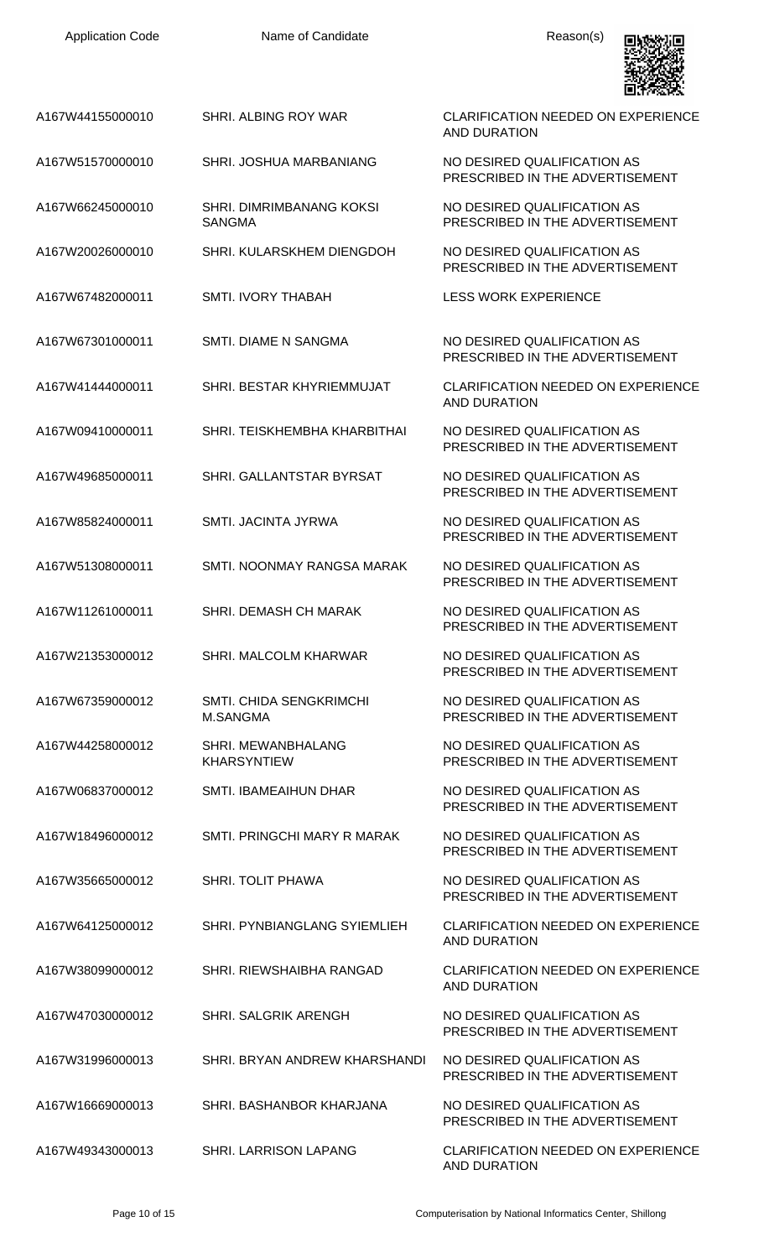| A167W44155000010 | <b>SHRI. ALBING ROY WAR</b>                | <b>CLARIFICATION NEEDED ON EXPERIENCE</b><br><b>AND DURATION</b> |
|------------------|--------------------------------------------|------------------------------------------------------------------|
| A167W51570000010 | SHRI. JOSHUA MARBANIANG                    | NO DESIRED QUALIFICATION AS<br>PRESCRIBED IN THE ADVERTISEMENT   |
| A167W66245000010 | SHRI. DIMRIMBANANG KOKSI<br><b>SANGMA</b>  | NO DESIRED QUALIFICATION AS<br>PRESCRIBED IN THE ADVERTISEMENT   |
| A167W20026000010 | SHRI. KULARSKHEM DIENGDOH                  | NO DESIRED QUALIFICATION AS<br>PRESCRIBED IN THE ADVERTISEMENT   |
| A167W67482000011 | <b>SMTI. IVORY THABAH</b>                  | <b>LESS WORK EXPERIENCE</b>                                      |
| A167W67301000011 | <b>SMTI. DIAME N SANGMA</b>                | NO DESIRED QUALIFICATION AS<br>PRESCRIBED IN THE ADVERTISEMENT   |
| A167W41444000011 | SHRI. BESTAR KHYRIEMMUJAT                  | <b>CLARIFICATION NEEDED ON EXPERIENCE</b><br><b>AND DURATION</b> |
| A167W09410000011 | SHRI. TEISKHEMBHA KHARBITHAI               | NO DESIRED QUALIFICATION AS<br>PRESCRIBED IN THE ADVERTISEMENT   |
| A167W49685000011 | SHRI. GALLANTSTAR BYRSAT                   | NO DESIRED QUALIFICATION AS<br>PRESCRIBED IN THE ADVERTISEMENT   |
| A167W85824000011 | SMTI. JACINTA JYRWA                        | NO DESIRED QUALIFICATION AS<br>PRESCRIBED IN THE ADVERTISEMENT   |
| A167W51308000011 | SMTI. NOONMAY RANGSA MARAK                 | NO DESIRED QUALIFICATION AS<br>PRESCRIBED IN THE ADVERTISEMENT   |
| A167W11261000011 | SHRI, DEMASH CH MARAK                      | NO DESIRED QUALIFICATION AS<br>PRESCRIBED IN THE ADVERTISEMENT   |
| A167W21353000012 | SHRI. MALCOLM KHARWAR                      | NO DESIRED QUALIFICATION AS<br>PRESCRIBED IN THE ADVERTISEMENT   |
| A167W67359000012 | SMTI. CHIDA SENGKRIMCHI<br><b>M.SANGMA</b> | NO DESIRED QUALIFICATION AS<br>PRESCRIBED IN THE ADVERTISEMENT   |
| A167W44258000012 | SHRI. MEWANBHALANG<br><b>KHARSYNTIEW</b>   | NO DESIRED QUALIFICATION AS<br>PRESCRIBED IN THE ADVERTISEMENT   |
| A167W06837000012 | SMTI. IBAMEAIHUN DHAR                      | NO DESIRED QUALIFICATION AS<br>PRESCRIBED IN THE ADVERTISEMENT   |
| A167W18496000012 | SMTI. PRINGCHI MARY R MARAK                | NO DESIRED QUALIFICATION AS<br>PRESCRIBED IN THE ADVERTISEMENT   |
| A167W35665000012 | <b>SHRI. TOLIT PHAWA</b>                   | NO DESIRED QUALIFICATION AS<br>PRESCRIBED IN THE ADVERTISEMENT   |
| A167W64125000012 | SHRI. PYNBIANGLANG SYIEMLIEH               | <b>CLARIFICATION NEEDED ON EXPERIENCE</b><br><b>AND DURATION</b> |
| A167W38099000012 | SHRI. RIEWSHAIBHA RANGAD                   | <b>CLARIFICATION NEEDED ON EXPERIENCE</b><br><b>AND DURATION</b> |
| A167W47030000012 | SHRI. SALGRIK ARENGH                       | NO DESIRED QUALIFICATION AS<br>PRESCRIBED IN THE ADVERTISEMENT   |
| A167W31996000013 | SHRI. BRYAN ANDREW KHARSHANDI              | NO DESIRED QUALIFICATION AS<br>PRESCRIBED IN THE ADVERTISEMENT   |
| A167W16669000013 | SHRI. BASHANBOR KHARJANA                   | NO DESIRED QUALIFICATION AS<br>PRESCRIBED IN THE ADVERTISEMENT   |
| A167W49343000013 | <b>SHRI. LARRISON LAPANG</b>               | <b>CLARIFICATION NEEDED ON EXPERIENCE</b><br><b>AND DURATION</b> |

黑燃煙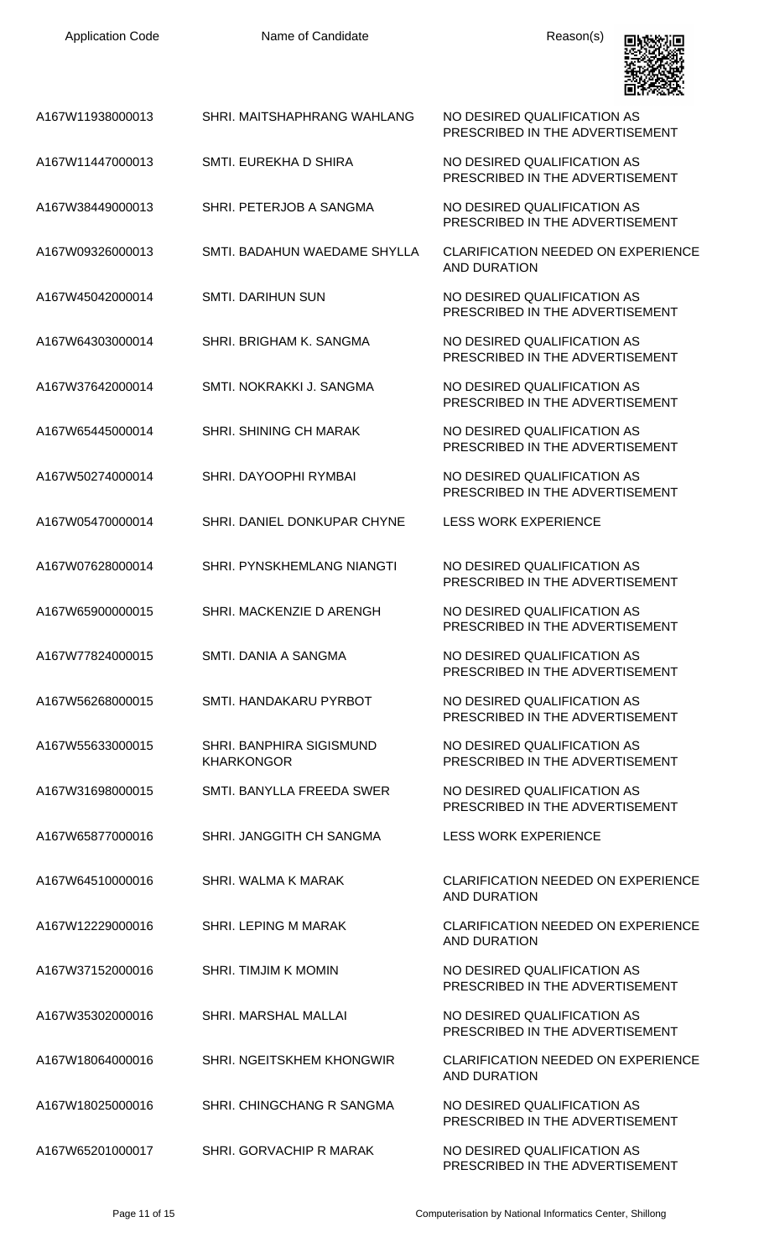| <b>Application Code</b> | Name of Candidate                             | Reason(s)                                                        |
|-------------------------|-----------------------------------------------|------------------------------------------------------------------|
| A167W11938000013        | SHRI. MAITSHAPHRANG WAHLANG                   | NO DESIRED QUALIFICATION AS<br>PRESCRIBED IN THE ADVERTISEMENT   |
| A167W11447000013        | SMTI. EUREKHA D SHIRA                         | NO DESIRED QUALIFICATION AS<br>PRESCRIBED IN THE ADVERTISEMENT   |
| A167W38449000013        | SHRI. PETERJOB A SANGMA                       | NO DESIRED QUALIFICATION AS<br>PRESCRIBED IN THE ADVERTISEMENT   |
| A167W09326000013        | SMTI. BADAHUN WAEDAME SHYLLA                  | <b>CLARIFICATION NEEDED ON EXPERIENCE</b><br><b>AND DURATION</b> |
| A167W45042000014        | <b>SMTI. DARIHUN SUN</b>                      | NO DESIRED QUALIFICATION AS<br>PRESCRIBED IN THE ADVERTISEMENT   |
| A167W64303000014        | SHRI. BRIGHAM K. SANGMA                       | NO DESIRED QUALIFICATION AS<br>PRESCRIBED IN THE ADVERTISEMENT   |
| A167W37642000014        | SMTI, NOKRAKKI J. SANGMA                      | NO DESIRED QUALIFICATION AS<br>PRESCRIBED IN THE ADVERTISEMENT   |
| A167W65445000014        | SHRI. SHINING CH MARAK                        | NO DESIRED QUALIFICATION AS<br>PRESCRIBED IN THE ADVERTISEMENT   |
| A167W50274000014        | SHRI. DAYOOPHI RYMBAI                         | NO DESIRED QUALIFICATION AS<br>PRESCRIBED IN THE ADVERTISEMENT   |
| A167W05470000014        | SHRI. DANIEL DONKUPAR CHYNE                   | <b>LESS WORK EXPERIENCE</b>                                      |
| A167W07628000014        | SHRI. PYNSKHEMLANG NIANGTI                    | NO DESIRED QUALIFICATION AS<br>PRESCRIBED IN THE ADVERTISEMENT   |
| A167W65900000015        | SHRI. MACKENZIE D ARENGH                      | NO DESIRED QUALIFICATION AS<br>PRESCRIBED IN THE ADVERTISEMENT   |
| A167W77824000015        | SMTL DANIA A SANGMA                           | NO DESIRED QUALIFICATION AS<br>PRESCRIBED IN THE ADVERTISEMENT   |
| A167W56268000015        | SMTI, HANDAKARIJ PYRBOT                       | NO DESIRED QUALIFICATION AS<br>PRESCRIBED IN THE ADVERTISEMENT   |
| A167W55633000015        | SHRI. BANPHIRA SIGISMUND<br><b>KHARKONGOR</b> | NO DESIRED QUALIFICATION AS<br>PRESCRIBED IN THE ADVERTISEMENT   |
| A167W31698000015        | SMTI. BANYLLA FREEDA SWER                     | NO DESIRED QUALIFICATION AS<br>PRESCRIBED IN THE ADVERTISEMENT   |
| A167W65877000016        | SHRI. JANGGITH CH SANGMA                      | <b>LESS WORK EXPERIENCE</b>                                      |
| A167W64510000016        | SHRI. WALMA K MARAK                           | <b>CLARIFICATION NEEDED ON EXPERIENCE</b><br><b>AND DURATION</b> |
| A167W12229000016        | <b>SHRI. LEPING M MARAK</b>                   | <b>CLARIFICATION NEEDED ON EXPERIENCE</b><br><b>AND DURATION</b> |
| A167W37152000016        | <b>SHRI. TIMJIM K MOMIN</b>                   | NO DESIRED QUALIFICATION AS<br>PRESCRIBED IN THE ADVERTISEMENT   |
| A167W35302000016        | <b>SHRI. MARSHAL MALLAI</b>                   | NO DESIRED QUALIFICATION AS<br>PRESCRIBED IN THE ADVERTISEMENT   |
| A167W18064000016        | SHRI. NGEITSKHEM KHONGWIR                     | <b>CLARIFICATION NEEDED ON EXPERIENCE</b><br><b>AND DURATION</b> |
| A167W18025000016        | SHRI. CHINGCHANG R SANGMA                     | NO DESIRED QUALIFICATION AS<br>PRESCRIBED IN THE ADVERTISEMENT   |
| A167W65201000017        | SHRI. GORVACHIP R MARAK                       | NO DESIRED QUALIFICATION AS<br>PRESCRIBED IN THE ADVERTISEMENT   |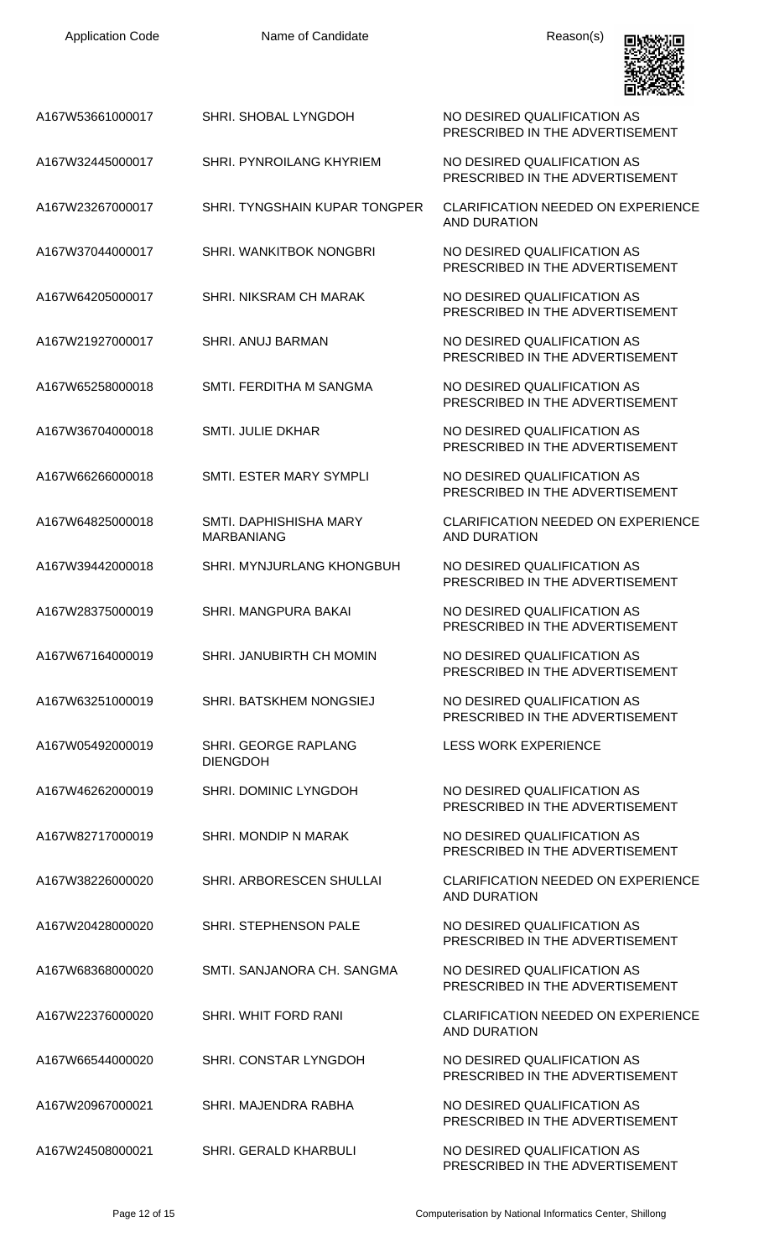| A167W53661000017 | SHRI. SHOBAL LYNGDOH                        | NO DESIRED QUALIFICATION AS<br>PRESCRIBED IN THE ADVERTISEMENT   |
|------------------|---------------------------------------------|------------------------------------------------------------------|
| A167W32445000017 | <b>SHRI. PYNROILANG KHYRIEM</b>             | NO DESIRED QUALIFICATION AS<br>PRESCRIBED IN THE ADVERTISEMENT   |
| A167W23267000017 | SHRI. TYNGSHAIN KUPAR TONGPER               | <b>CLARIFICATION NEEDED ON EXPERIENCE</b><br><b>AND DURATION</b> |
| A167W37044000017 | SHRI. WANKITBOK NONGBRI                     | NO DESIRED QUALIFICATION AS<br>PRESCRIBED IN THE ADVERTISEMENT   |
| A167W64205000017 | <b>SHRI, NIKSRAM CH MARAK</b>               | NO DESIRED QUALIFICATION AS<br>PRESCRIBED IN THE ADVERTISEMENT   |
| A167W21927000017 | <b>SHRI. ANUJ BARMAN</b>                    | NO DESIRED QUALIFICATION AS<br>PRESCRIBED IN THE ADVERTISEMENT   |
| A167W65258000018 | SMTI. FERDITHA M SANGMA                     | NO DESIRED QUALIFICATION AS<br>PRESCRIBED IN THE ADVERTISEMENT   |
| A167W36704000018 | <b>SMTI. JULIE DKHAR</b>                    | NO DESIRED QUALIFICATION AS<br>PRESCRIBED IN THE ADVERTISEMENT   |
| A167W66266000018 | SMTI. ESTER MARY SYMPLI                     | NO DESIRED QUALIFICATION AS<br>PRESCRIBED IN THE ADVERTISEMENT   |
| A167W64825000018 | SMTI, DAPHISHISHA MARY<br><b>MARBANIANG</b> | <b>CLARIFICATION NEEDED ON EXPERIENCE</b><br><b>AND DURATION</b> |
| A167W39442000018 | <b>SHRI. MYNJURLANG KHONGBUH</b>            | NO DESIRED QUALIFICATION AS<br>PRESCRIBED IN THE ADVERTISEMENT   |
| A167W28375000019 | SHRI. MANGPURA BAKAI                        | NO DESIRED QUALIFICATION AS<br>PRESCRIBED IN THE ADVERTISEMENT   |
| A167W67164000019 | SHRI. JANUBIRTH CH MOMIN                    | NO DESIRED QUALIFICATION AS<br>PRESCRIBED IN THE ADVERTISEMENT   |
| A167W63251000019 | SHRI. BATSKHEM NONGSIEJ                     | NO DESIRED QUALIFICATION AS<br>PRESCRIBED IN THE ADVERTISEMENT   |
| A167W05492000019 | SHRI. GEORGE RAPLANG<br><b>DIENGDOH</b>     | <b>LESS WORK EXPERIENCE</b>                                      |
| A167W46262000019 | SHRI. DOMINIC LYNGDOH                       | NO DESIRED QUALIFICATION AS<br>PRESCRIBED IN THE ADVERTISEMENT   |
| A167W82717000019 | SHRI. MONDIP N MARAK                        | NO DESIRED QUALIFICATION AS<br>PRESCRIBED IN THE ADVERTISEMENT   |
| A167W38226000020 | SHRI. ARBORESCEN SHULLAI                    | <b>CLARIFICATION NEEDED ON EXPERIENCE</b><br><b>AND DURATION</b> |
| A167W20428000020 | SHRI. STEPHENSON PALE                       | NO DESIRED QUALIFICATION AS<br>PRESCRIBED IN THE ADVERTISEMENT   |
| A167W68368000020 | SMTI. SANJANORA CH. SANGMA                  | NO DESIRED QUALIFICATION AS<br>PRESCRIBED IN THE ADVERTISEMENT   |
| A167W22376000020 | SHRI. WHIT FORD RANI                        | <b>CLARIFICATION NEEDED ON EXPERIENCE</b><br><b>AND DURATION</b> |
| A167W66544000020 | SHRI. CONSTAR LYNGDOH                       | NO DESIRED QUALIFICATION AS<br>PRESCRIBED IN THE ADVERTISEMENT   |
| A167W20967000021 | SHRI. MAJENDRA RABHA                        | NO DESIRED QUALIFICATION AS<br>PRESCRIBED IN THE ADVERTISEMENT   |
| A167W24508000021 | SHRI. GERALD KHARBULI                       | NO DESIRED QUALIFICATION AS                                      |

PRESCRIBED IN THE ADVERTISEMENT

回收线项目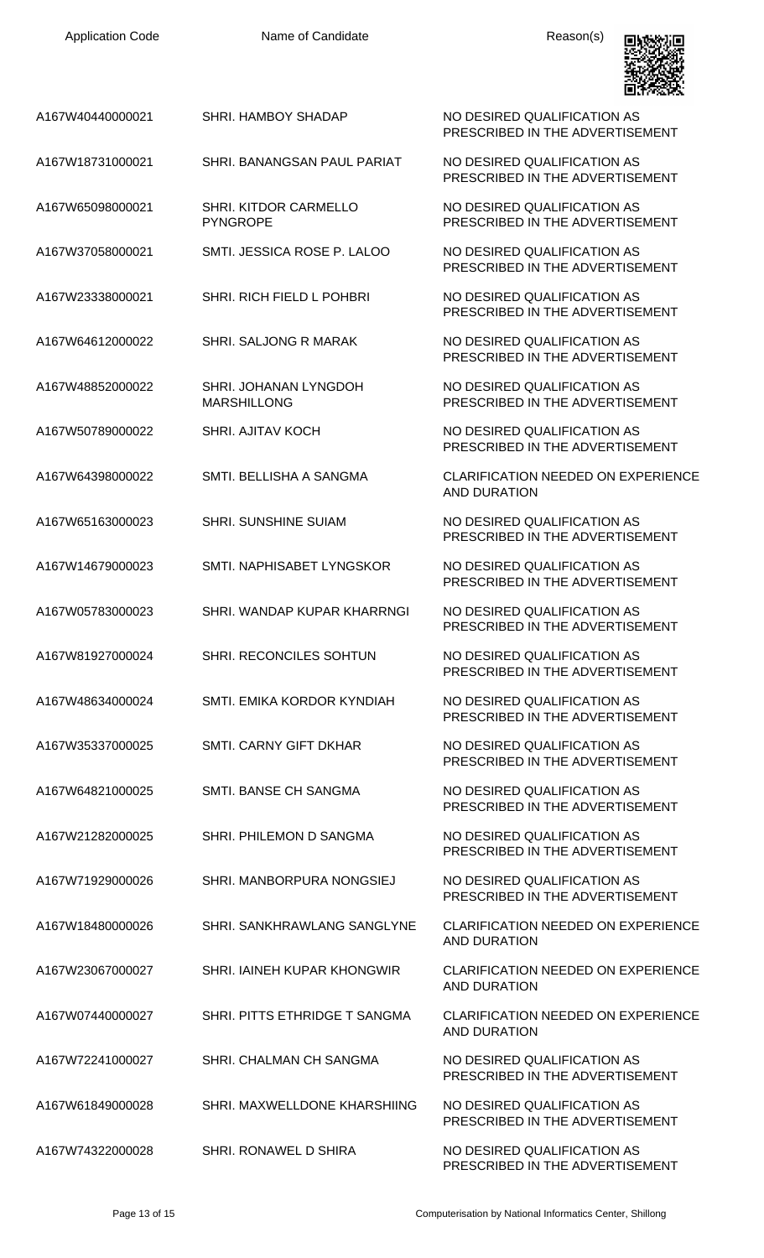| A167W40440000021 | SHRI. HAMBOY SHADAP                         | NO DESIRED QUALIFICATION AS<br>PRESCRIBED IN THE ADVERTISEMENT   |
|------------------|---------------------------------------------|------------------------------------------------------------------|
| A167W18731000021 | SHRI. BANANGSAN PAUL PARIAT                 | NO DESIRED QUALIFICATION AS<br>PRESCRIBED IN THE ADVERTISEMENT   |
| A167W65098000021 | SHRI. KITDOR CARMELLO<br><b>PYNGROPE</b>    | NO DESIRED QUALIFICATION AS<br>PRESCRIBED IN THE ADVERTISEMENT   |
| A167W37058000021 | SMTI. JESSICA ROSE P. LALOO                 | NO DESIRED QUALIFICATION AS<br>PRESCRIBED IN THE ADVERTISEMENT   |
| A167W23338000021 | SHRI. RICH FIELD L POHBRI                   | NO DESIRED QUALIFICATION AS<br>PRESCRIBED IN THE ADVERTISEMENT   |
| A167W64612000022 | SHRI. SALJONG R MARAK                       | NO DESIRED QUALIFICATION AS<br>PRESCRIBED IN THE ADVERTISEMENT   |
| A167W48852000022 | SHRI. JOHANAN LYNGDOH<br><b>MARSHILLONG</b> | NO DESIRED QUALIFICATION AS<br>PRESCRIBED IN THE ADVERTISEMENT   |
| A167W50789000022 | <b>SHRI. AJITAV KOCH</b>                    | NO DESIRED QUALIFICATION AS<br>PRESCRIBED IN THE ADVERTISEMENT   |
| A167W64398000022 | SMTI. BELLISHA A SANGMA                     | <b>CLARIFICATION NEEDED ON EXPERIENCE</b><br><b>AND DURATION</b> |
| A167W65163000023 | <b>SHRI. SUNSHINE SUIAM</b>                 | NO DESIRED QUALIFICATION AS<br>PRESCRIBED IN THE ADVERTISEMENT   |
| A167W14679000023 | SMTI. NAPHISABET LYNGSKOR                   | NO DESIRED QUALIFICATION AS<br>PRESCRIBED IN THE ADVERTISEMENT   |
| A167W05783000023 | SHRI. WANDAP KUPAR KHARRNGI                 | NO DESIRED QUALIFICATION AS<br>PRESCRIBED IN THE ADVERTISEMENT   |
| A167W81927000024 | SHRI. RECONCILES SOHTUN                     | NO DESIRED QUALIFICATION AS<br>PRESCRIBED IN THE ADVERTISEMENT   |
| A167W48634000024 | SMTI. EMIKA KORDOR KYNDIAH                  | NO DESIRED QUALIFICATION AS<br>PRESCRIBED IN THE ADVERTISEMENT   |
| A167W35337000025 | <b>SMTI. CARNY GIFT DKHAR</b>               | NO DESIRED QUALIFICATION AS<br>PRESCRIBED IN THE ADVERTISEMENT   |
| A167W64821000025 | SMTI. BANSE CH SANGMA                       | NO DESIRED QUALIFICATION AS<br>PRESCRIBED IN THE ADVERTISEMENT   |
| A167W21282000025 | SHRI. PHILEMON D SANGMA                     | NO DESIRED QUALIFICATION AS<br>PRESCRIBED IN THE ADVERTISEMENT   |
| A167W71929000026 | SHRI. MANBORPURA NONGSIEJ                   | NO DESIRED QUALIFICATION AS<br>PRESCRIBED IN THE ADVERTISEMENT   |
| A167W18480000026 | SHRI. SANKHRAWLANG SANGLYNE                 | <b>CLARIFICATION NEEDED ON EXPERIENCE</b><br><b>AND DURATION</b> |
| A167W23067000027 | SHRI. IAINEH KUPAR KHONGWIR                 | <b>CLARIFICATION NEEDED ON EXPERIENCE</b><br>AND DURATION        |
| A167W07440000027 | SHRI. PITTS ETHRIDGE T SANGMA               | <b>CLARIFICATION NEEDED ON EXPERIENCE</b><br><b>AND DURATION</b> |
| A167W72241000027 | SHRI. CHALMAN CH SANGMA                     | NO DESIRED QUALIFICATION AS<br>PRESCRIBED IN THE ADVERTISEMENT   |
| A167W61849000028 | SHRI. MAXWELLDONE KHARSHIING                | NO DESIRED QUALIFICATION AS<br>PRESCRIBED IN THE ADVERTISEMENT   |
| A167W74322000028 | SHRI, RONAWEL D SHIRA                       | NO DESIRED QUALIFICATION AS<br>PRESCRIBED IN THE ADVERTISEMENT   |

回燃观回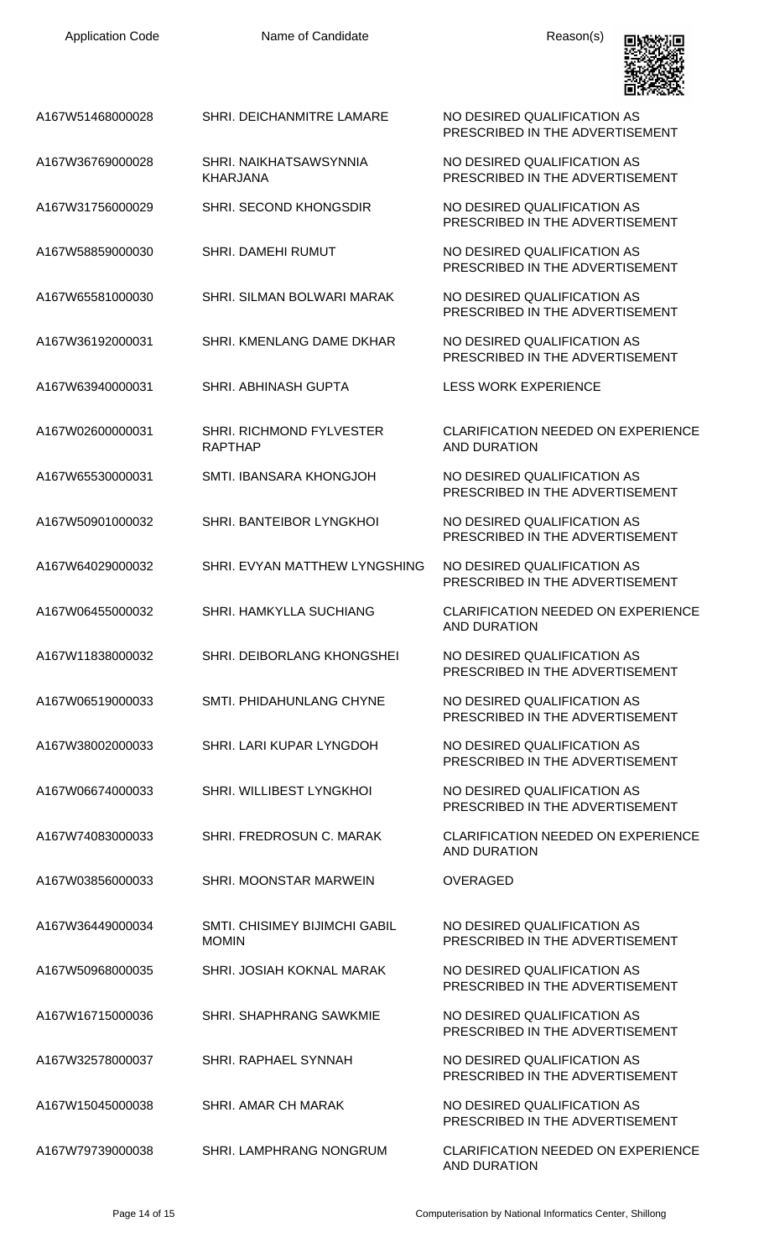

NO DESIRED QUALIFICATION AS PRESCRIBED IN THE ADVERTISEMENT

NO DESIRED QUALIFICATION AS PRESCRIBED IN THE ADVERTISEMENT

PRESCRIBED IN THE ADVERTISEMENT

PRESCRIBED IN THE ADVERTISEMENT

PRESCRIBED IN THE ADVERTISEMENT

PRESCRIBED IN THE ADVERTISEMENT

CLARIFICATION NEEDED ON EXPERIENCE AND DURATION

PRESCRIBED IN THE ADVERTISEMENT

PRESCRIBED IN THE ADVERTISEMENT

PRESCRIBED IN THE ADVERTISEMENT

AND DURATION

PRESCRIBED IN THE ADVERTISEMENT

PRESCRIBED IN THE ADVERTISEMENT

PRESCRIBED IN THE ADVERTISEMENT

PRESCRIBED IN THE ADVERTISEMENT

AND DURATION

NO DESIRED QUALIFICATION AS PRESCRIBED IN THE ADVERTISEMENT

PRESCRIBED IN THE ADVERTISEMENT

PRESCRIBED IN THE ADVERTISEMENT

PRESCRIBED IN THE ADVERTISEMENT

PRESCRIBED IN THE ADVERTISEMENT

AND DURATION

| A167W51468000028 | SHRI. DEICHANMITRE LAMARE |
|------------------|---------------------------|
|                  |                           |

- A167W36769000028 SHRI. NAIKHATSAWSYNNIA KHARJANA
- A167W31756000029 SHRI. SECOND KHONGSDIR NO DESIRED QUALIFICATION AS
- A167W58859000030 SHRI. DAMEHI RUMUT NO DESIRED QUALIFICATION AS
- A167W65581000030 SHRI. SILMAN BOLWARI MARAK NO DESIRED QUALIFICATION AS
- A167W36192000031 SHRI. KMENLANG DAME DKHAR NO DESIRED QUALIFICATION AS
- A167W63940000031 SHRI. ABHINASH GUPTA LESS WORK EXPERIENCE
- A167W02600000031 SHRI. RICHMOND FYLVESTER RAPTHAP
- A167W65530000031 SMTI. IBANSARA KHONGJOH NO DESIRED QUALIFICATION AS
- A167W50901000032 SHRI. BANTEIBOR LYNGKHOI NO DESIRED QUALIFICATION AS
- A167W64029000032 SHRI. EVYAN MATTHEW LYNGSHING NO DESIRED QUALIFICATION AS
- A167W06455000032 SHRI. HAMKYLLA SUCHIANG CLARIFICATION NEEDED ON EXPERIENCE
- A167W11838000032 SHRI. DEIBORLANG KHONGSHEI NO DESIRED QUALIFICATION AS
- A167W06519000033 SMTI. PHIDAHUNLANG CHYNE NO DESIRED QUALIFICATION AS
- A167W38002000033 SHRI. LARI KUPAR LYNGDOH NO DESIRED QUALIFICATION AS
- A167W06674000033 SHRI. WILLIBEST LYNGKHOI NO DESIRED QUALIFICATION AS
- A167W74083000033 SHRI. FREDROSUN C. MARAK CLARIFICATION NEEDED ON EXPERIENCE
- A167W03856000033 SHRI. MOONSTAR MARWEIN OVERAGED

A167W36449000034 SMTI. CHISIMEY BIJIMCHI GABIL MOMIN

- A167W50968000035 SHRI. JOSIAH KOKNAL MARAK NO DESIRED QUALIFICATION AS
- A167W16715000036 SHRI. SHAPHRANG SAWKMIE NO DESIRED QUALIFICATION AS
- A167W32578000037 SHRI. RAPHAEL SYNNAH NO DESIRED QUALIFICATION AS
- A167W15045000038 SHRI. AMAR CH MARAK NO DESIRED QUALIFICATION AS

A167W79739000038 SHRI. LAMPHRANG NONGRUM CLARIFICATION NEEDED ON EXPERIENCE